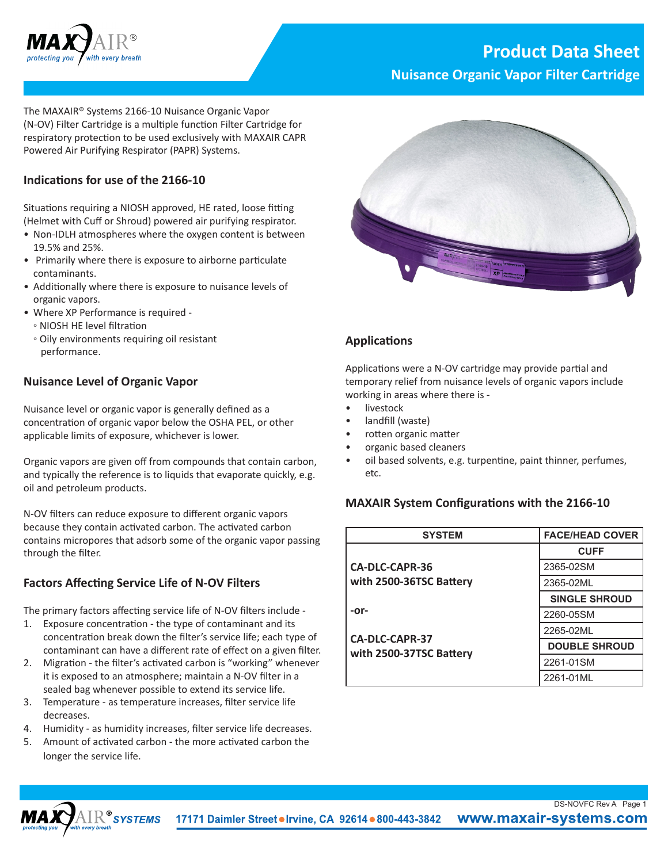

# **Product Data Sheet**

**Nuisance Organic Vapor Filter Cartridge**

The MAXAIR® Systems 2166-10 Nuisance Organic Vapor (N-OV) Filter Cartridge is a multiple function Filter Cartridge for respiratory protection to be used exclusively with MAXAIR CAPR Powered Air Purifying Respirator (PAPR) Systems.

### **Indications for use of the 2166-10**

Situations requiring a NIOSH approved, HE rated, loose fitting (Helmet with Cuff or Shroud) powered air purifying respirator.

- Non-IDLH atmospheres where the oxygen content is between 19.5% and 25%.
- Primarily where there is exposure to airborne particulate contaminants.
- Additionally where there is exposure to nuisance levels of organic vapors.
- Where XP Performance is required
	- NIOSH HE level filtration
	- Oily environments requiring oil resistant performance.

#### **Nuisance Level of Organic Vapor**

Nuisance level or organic vapor is generally defined as a concentration of organic vapor below the OSHA PEL, or other applicable limits of exposure, whichever is lower.

Organic vapors are given off from compounds that contain carbon, and typically the reference is to liquids that evaporate quickly, e.g. oil and petroleum products.

N-OV filters can reduce exposure to different organic vapors because they contain activated carbon. The activated carbon contains micropores that adsorb some of the organic vapor passing through the filter.

## **Factors Affecting Service Life of N-OV Filters**

The primary factors affecting service life of N-OV filters include -

- 1. Exposure concentration the type of contaminant and its concentration break down the filter's service life; each type of contaminant can have a different rate of effect on a given filter.
- 2. Migration the filter's activated carbon is "working" whenever it is exposed to an atmosphere; maintain a N-OV filter in a sealed bag whenever possible to extend its service life.
- 3. Temperature as temperature increases, filter service life decreases.
- 4. Humidity as humidity increases, filter service life decreases.
- 5. Amount of activated carbon the more activated carbon the longer the service life.



#### **Applications**

Applications were a N-OV cartridge may provide partial and temporary relief from nuisance levels of organic vapors include working in areas where there is -

- **livestock**
- landfill (waste)
- rotten organic matter
- organic based cleaners
- oil based solvents, e.g. turpentine, paint thinner, perfumes, etc.

#### **MAXAIR System Configurations with the 2166-10**

| <b>SYSTEM</b>                                    | <b>FACE/HEAD COVER</b> |
|--------------------------------------------------|------------------------|
|                                                  | <b>CUFF</b>            |
| <b>CA-DLC-CAPR-36</b>                            | 2365-02SM              |
| with 2500-36TSC Battery                          | 2365-02ML              |
|                                                  | <b>SINGLE SHROUD</b>   |
| -or-                                             | 2260-05SM              |
| <b>CA-DLC-CAPR-37</b><br>with 2500-37TSC Battery | 2265-02ML              |
|                                                  | <b>DOUBLE SHROUD</b>   |
|                                                  | 2261-01SM              |
|                                                  | 2261-01ML              |

DS-NOVFC Rev A Page 1



17171 Daimler Street . Irvine, CA 92614 . 800-443-3842 www.maxair-systems.com